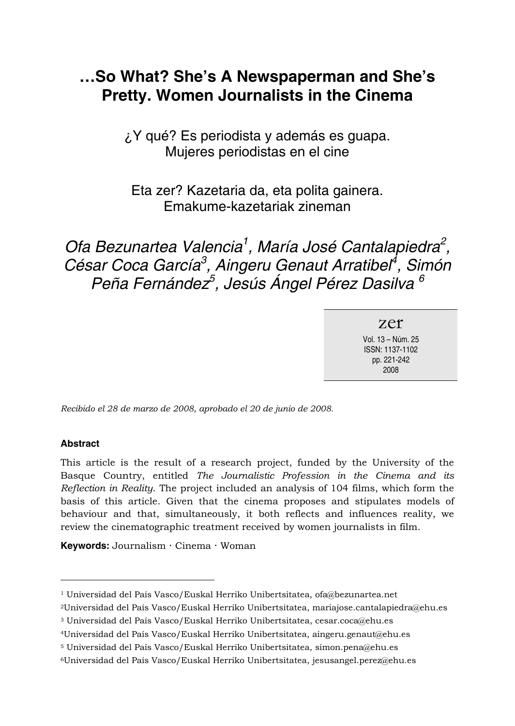# **...So What? She's A Newspaperman and She's Pretty. Women Journalists in the Cinema**

¿Y qué? Es periodista y además es guapa. Mujeres periodistas en el cine

Eta zer? Kazetaria da, eta polita gainera. Emakume-kazetariak zineman

Ofa Bezunartea Valencia<sup>1</sup>, María José Cantalapiedra<sup>2</sup>, César Coca García<sup>3</sup>, Aingeru Genaut Arratibel<sup>4</sup>, Simón Peña Fernández<sup>5</sup>, Jesús Ángel Pérez Dasilva <sup>6</sup>

> zer Vol. 13 - Núm. 25 ISSN: 1137-1102 pp. 221-242 2008

*Recibido el 28 de marzo de 2008, aprobado el 20 de junio de 2008.* 

#### **Abstract**

 $\overline{a}$ 

This article is the result of a research project, funded by the University of the Basque Country, entitled *The Journalistic Profession in the Cinema and its Reflection in Reality*. The project included an analysis of 104 films, which form the basis of this article. Given that the cinema proposes and stipulates models of behaviour and that, simultaneously, it both reflects and influences reality, we review the cinematographic treatment received by women journalists in film.

**Keywords:** Journalism **·** Cinema **·** Woman

<sup>&</sup>lt;sup>1</sup> Universidad del País Vasco/Euskal Herriko Unibertsitatea, ofa@bezunartea.net

<sup>2</sup>Universidad del País Vasco/Euskal Herriko Unibertsitatea, mariajose.cantalapiedra@ehu.es

<sup>3</sup> Universidad del País Vasco/Euskal Herriko Unibertsitatea, cesar.coca@ehu.es

<sup>4</sup>Universidad del País Vasco/Euskal Herriko Unibertsitatea, aingeru.genaut@ehu.es

<sup>5</sup> Universidad del País Vasco/Euskal Herriko Unibertsitatea, simon.pena@ehu.es

<sup>6</sup>Universidad del País Vasco/Euskal Herriko Unibertsitatea, jesusangel.perez@ehu.es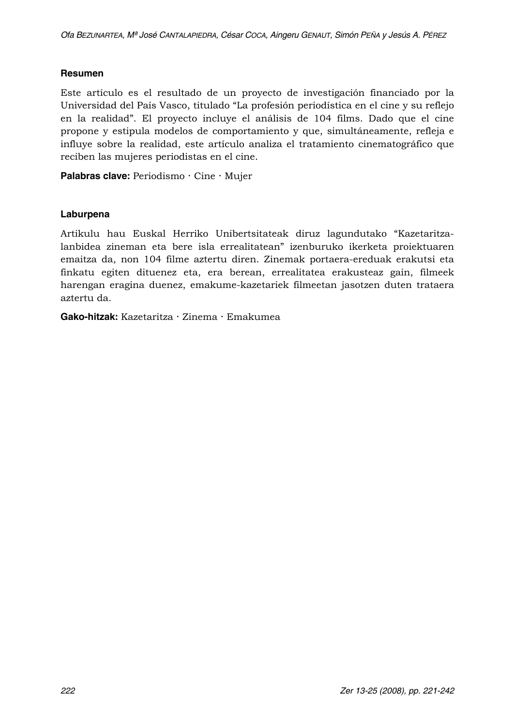#### **Resumen**

Este artículo es el resultado de un proyecto de investigación financiado por la Universidad del País Vasco, titulado "La profesión periodística en el cine y su reflejo en la realidad". El proyecto incluye el análisis de 104 films. Dado que el cine propone y estipula modelos de comportamiento y que, simultáneamente, refleja e influye sobre la realidad, este artículo analiza el tratamiento cinematográfico que reciben las mujeres periodistas en el cine.

**Palabras clave:** Periodismo **·** Cine **·** Mujer

#### **Laburpena**

Artikulu hau Euskal Herriko Unibertsitateak diruz lagundutako "Kazetaritzalanbidea zineman eta bere isla errealitatean" izenburuko ikerketa proiektuaren emaitza da, non 104 filme aztertu diren. Zinemak portaera-ereduak erakutsi eta finkatu egiten dituenez eta, era berean, errealitatea erakusteaz gain, filmeek harengan eragina duenez, emakume-kazetariek filmeetan jasotzen duten trataera aztertu da.

**Gako-hitzak:** Kazetaritza **·** Zinema **·** Emakumea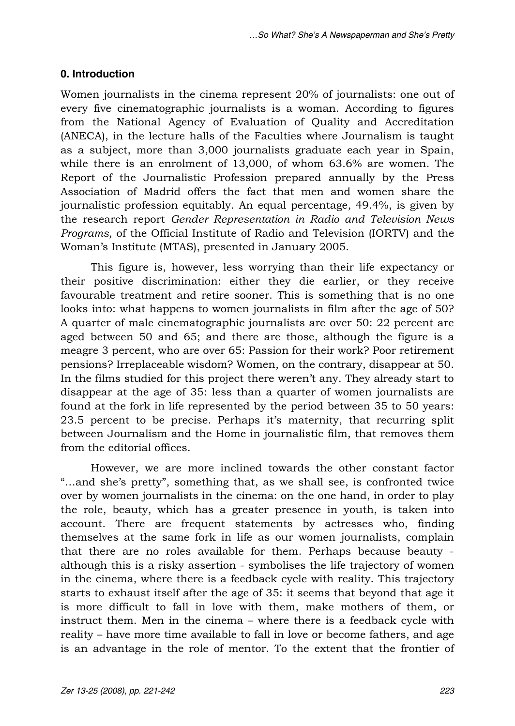#### **0. Introduction**

Women journalists in the cinema represent 20% of journalists: one out of every five cinematographic journalists is a woman. According to figures from the National Agency of Evaluation of Quality and Accreditation (ANECA), in the lecture halls of the Faculties where Journalism is taught as a subject, more than 3,000 journalists graduate each year in Spain, while there is an enrolment of 13,000, of whom 63.6% are women. The Report of the Journalistic Profession prepared annually by the Press Association of Madrid offers the fact that men and women share the journalistic profession equitably. An equal percentage, 49.4%, is given by the research report *Gender Representation in Radio and Television News Programs*, of the Official Institute of Radio and Television (IORTV) and the Woman's Institute (MTAS), presented in January 2005.

This figure is, however, less worrying than their life expectancy or their positive discrimination: either they die earlier, or they receive favourable treatment and retire sooner. This is something that is no one looks into: what happens to women journalists in film after the age of 50? A quarter of male cinematographic journalists are over 50: 22 percent are aged between 50 and 65; and there are those, although the figure is a meagre 3 percent, who are over 65: Passion for their work? Poor retirement pensions? Irreplaceable wisdom? Women, on the contrary, disappear at 50. In the films studied for this project there weren't any. They already start to disappear at the age of 35: less than a quarter of women journalists are found at the fork in life represented by the period between 35 to 50 years: 23.5 percent to be precise. Perhaps it's maternity, that recurring split between Journalism and the Home in journalistic film, that removes them from the editorial offices.

However, we are more inclined towards the other constant factor "...and she's pretty", something that, as we shall see, is confronted twice over by women journalists in the cinema: on the one hand, in order to play the role, beauty, which has a greater presence in youth, is taken into account. There are frequent statements by actresses who, finding themselves at the same fork in life as our women journalists, complain that there are no roles available for them. Perhaps because beauty although this is a risky assertion - symbolises the life trajectory of women in the cinema, where there is a feedback cycle with reality. This trajectory starts to exhaust itself after the age of 35: it seems that beyond that age it is more difficult to fall in love with them, make mothers of them, or instruct them. Men in the cinema – where there is a feedback cycle with reality – have more time available to fall in love or become fathers, and age is an advantage in the role of mentor. To the extent that the frontier of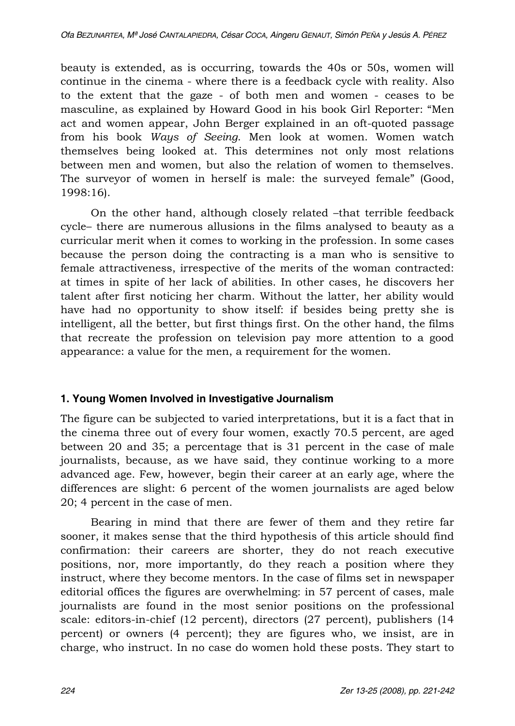beauty is extended, as is occurring, towards the 40s or 50s, women will continue in the cinema - where there is a feedback cycle with reality. Also to the extent that the gaze - of both men and women - ceases to be masculine, as explained by Howard Good in his book Girl Reporter: "Men act and women appear, John Berger explained in an oft-quoted passage from his book *Ways of Seeing*. Men look at women. Women watch themselves being looked at. This determines not only most relations between men and women, but also the relation of women to themselves. The surveyor of women in herself is male: the surveyed female" (Good, 1998:16).

On the other hand, although closely related -that terrible feedback cyclen there are numerous allusions in the films analysed to beauty as a curricular merit when it comes to working in the profession. In some cases because the person doing the contracting is a man who is sensitive to female attractiveness, irrespective of the merits of the woman contracted: at times in spite of her lack of abilities. In other cases, he discovers her talent after first noticing her charm. Without the latter, her ability would have had no opportunity to show itself: if besides being pretty she is intelligent, all the better, but first things first. On the other hand, the films that recreate the profession on television pay more attention to a good appearance: a value for the men, a requirement for the women.

## **1. Young Women Involved in Investigative Journalism**

The figure can be subjected to varied interpretations, but it is a fact that in the cinema three out of every four women, exactly 70.5 percent, are aged between 20 and 35; a percentage that is 31 percent in the case of male journalists, because, as we have said, they continue working to a more advanced age. Few, however, begin their career at an early age, where the differences are slight: 6 percent of the women journalists are aged below 20; 4 percent in the case of men.

Bearing in mind that there are fewer of them and they retire far sooner, it makes sense that the third hypothesis of this article should find confirmation: their careers are shorter, they do not reach executive positions, nor, more importantly, do they reach a position where they instruct, where they become mentors. In the case of films set in newspaper editorial offices the figures are overwhelming: in 57 percent of cases, male journalists are found in the most senior positions on the professional scale: editors-in-chief (12 percent), directors (27 percent), publishers (14 percent) or owners (4 percent); they are figures who, we insist, are in charge, who instruct. In no case do women hold these posts. They start to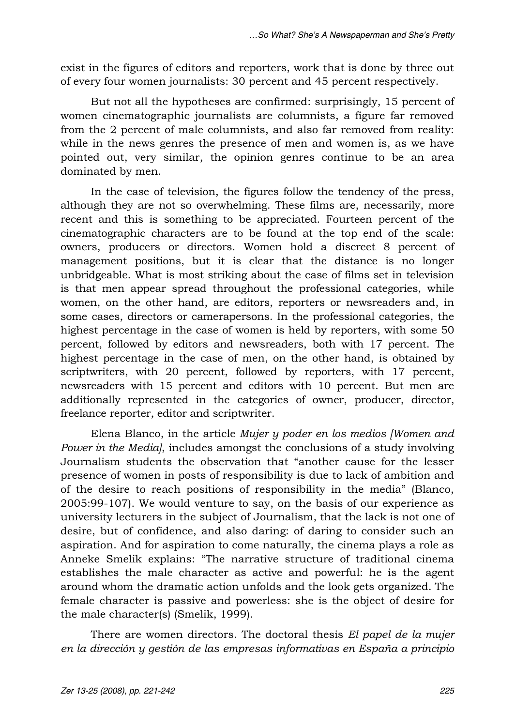exist in the figures of editors and reporters, work that is done by three out of every four women journalists: 30 percent and 45 percent respectively.

But not all the hypotheses are confirmed: surprisingly, 15 percent of women cinematographic journalists are columnists, a figure far removed from the 2 percent of male columnists, and also far removed from reality: while in the news genres the presence of men and women is, as we have pointed out, very similar, the opinion genres continue to be an area dominated by men.

In the case of television, the figures follow the tendency of the press, although they are not so overwhelming. These films are, necessarily, more recent and this is something to be appreciated. Fourteen percent of the cinematographic characters are to be found at the top end of the scale: owners, producers or directors. Women hold a discreet 8 percent of management positions, but it is clear that the distance is no longer unbridgeable. What is most striking about the case of films set in television is that men appear spread throughout the professional categories, while women, on the other hand, are editors, reporters or newsreaders and, in some cases, directors or camerapersons. In the professional categories, the highest percentage in the case of women is held by reporters, with some 50 percent, followed by editors and newsreaders, both with 17 percent. The highest percentage in the case of men, on the other hand, is obtained by scriptwriters, with 20 percent, followed by reporters, with 17 percent, newsreaders with 15 percent and editors with 10 percent. But men are additionally represented in the categories of owner, producer, director, freelance reporter, editor and scriptwriter.

Elena Blanco, in the article *Mujer y poder en los medios [Women and Power in the Media]*, includes amongst the conclusions of a study involving Journalism students the observation that "another cause for the lesser presence of women in posts of responsibility is due to lack of ambition and of the desire to reach positions of responsibility in the media" (Blanco, 2005:99-107). We would venture to say, on the basis of our experience as university lecturers in the subject of Journalism, that the lack is not one of desire, but of confidence, and also daring: of daring to consider such an aspiration. And for aspiration to come naturally, the cinema plays a role as Anneke Smelik explains: "The narrative structure of traditional cinema establishes the male character as active and powerful: he is the agent around whom the dramatic action unfolds and the look gets organized. The female character is passive and powerless: she is the object of desire for the male character(s) (Smelik, 1999).

There are women directors. The doctoral thesis *El papel de la mujer en la dirección y gestión de las empresas informativas en España a principio*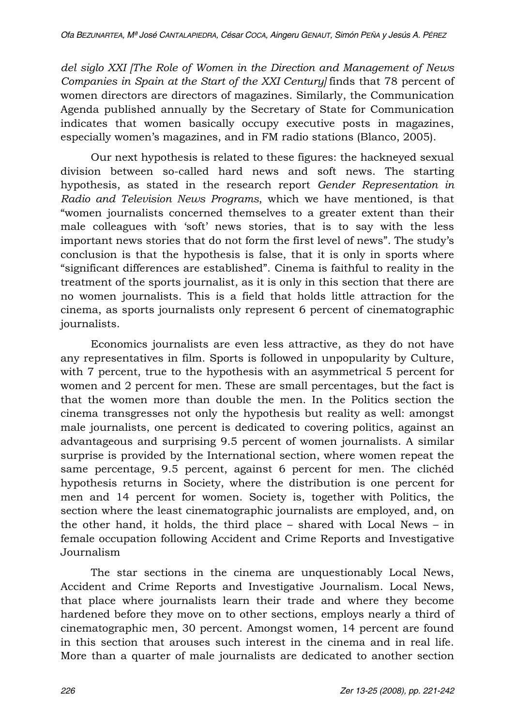*del siglo XXI [The Role of Women in the Direction and Management of News Companies in Spain at the Start of the XXI Century]* finds that 78 percent of women directors are directors of magazines. Similarly, the Communication Agenda published annually by the Secretary of State for Communication indicates that women basically occupy executive posts in magazines, especially women's magazines, and in FM radio stations (Blanco, 2005).

Our next hypothesis is related to these figures: the hackneyed sexual division between so-called hard news and soft news. The starting hypothesis, as stated in the research report *Gender Representation in Radio and Television News Programs*, which we have mentioned, is that "women journalists concerned themselves to a greater extent than their male colleagues with 'soft' news stories, that is to say with the less important news stories that do not form the first level of news". The study's conclusion is that the hypothesis is false, that it is only in sports where "significant differences are established". Cinema is faithful to reality in the treatment of the sports journalist, as it is only in this section that there are no women journalists. This is a field that holds little attraction for the cinema, as sports journalists only represent 6 percent of cinematographic journalists.

Economics journalists are even less attractive, as they do not have any representatives in film. Sports is followed in unpopularity by Culture, with 7 percent, true to the hypothesis with an asymmetrical 5 percent for women and 2 percent for men. These are small percentages, but the fact is that the women more than double the men. In the Politics section the cinema transgresses not only the hypothesis but reality as well: amongst male journalists, one percent is dedicated to covering politics, against an advantageous and surprising 9.5 percent of women journalists. A similar surprise is provided by the International section, where women repeat the same percentage, 9.5 percent, against 6 percent for men. The clichéd hypothesis returns in Society, where the distribution is one percent for men and 14 percent for women. Society is, together with Politics, the section where the least cinematographic journalists are employed, and, on the other hand, it holds, the third place  $-$  shared with Local News  $-$  in female occupation following Accident and Crime Reports and Investigative Journalism

The star sections in the cinema are unquestionably Local News, Accident and Crime Reports and Investigative Journalism. Local News, that place where journalists learn their trade and where they become hardened before they move on to other sections, employs nearly a third of cinematographic men, 30 percent. Amongst women, 14 percent are found in this section that arouses such interest in the cinema and in real life. More than a quarter of male journalists are dedicated to another section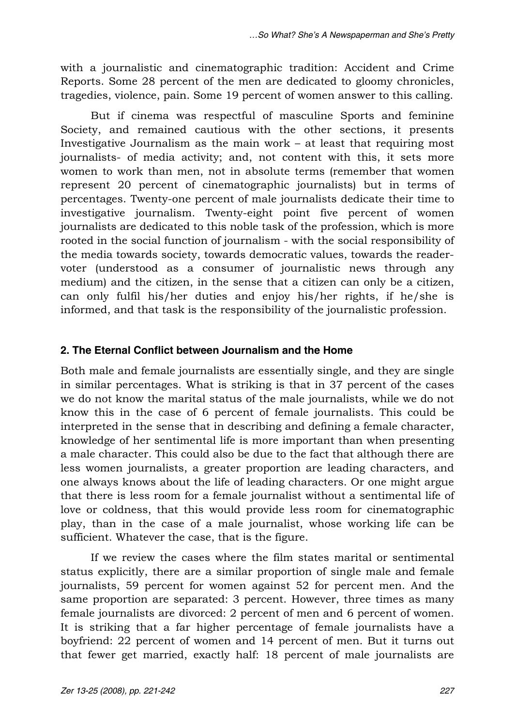with a journalistic and cinematographic tradition: Accident and Crime Reports. Some 28 percent of the men are dedicated to gloomy chronicles, tragedies, violence, pain. Some 19 percent of women answer to this calling.

But if cinema was respectful of masculine Sports and feminine Society, and remained cautious with the other sections, it presents Investigative Journalism as the main work  $-$  at least that requiring most journalists- of media activity; and, not content with this, it sets more women to work than men, not in absolute terms (remember that women represent 20 percent of cinematographic journalists) but in terms of percentages. Twenty-one percent of male journalists dedicate their time to investigative journalism. Twenty-eight point five percent of women journalists are dedicated to this noble task of the profession, which is more rooted in the social function of journalism - with the social responsibility of the media towards society, towards democratic values, towards the readervoter (understood as a consumer of journalistic news through any medium) and the citizen, in the sense that a citizen can only be a citizen, can only fulfil his/her duties and enjoy his/her rights, if he/she is informed, and that task is the responsibility of the journalistic profession.

## **2. The Eternal Conflict between Journalism and the Home**

Both male and female journalists are essentially single, and they are single in similar percentages. What is striking is that in 37 percent of the cases we do not know the marital status of the male journalists, while we do not know this in the case of 6 percent of female journalists. This could be interpreted in the sense that in describing and defining a female character, knowledge of her sentimental life is more important than when presenting a male character. This could also be due to the fact that although there are less women journalists, a greater proportion are leading characters, and one always knows about the life of leading characters. Or one might argue that there is less room for a female journalist without a sentimental life of love or coldness, that this would provide less room for cinematographic play, than in the case of a male journalist, whose working life can be sufficient. Whatever the case, that is the figure.

If we review the cases where the film states marital or sentimental status explicitly, there are a similar proportion of single male and female journalists, 59 percent for women against 52 for percent men. And the same proportion are separated: 3 percent. However, three times as many female journalists are divorced: 2 percent of men and 6 percent of women. It is striking that a far higher percentage of female journalists have a boyfriend: 22 percent of women and 14 percent of men. But it turns out that fewer get married, exactly half: 18 percent of male journalists are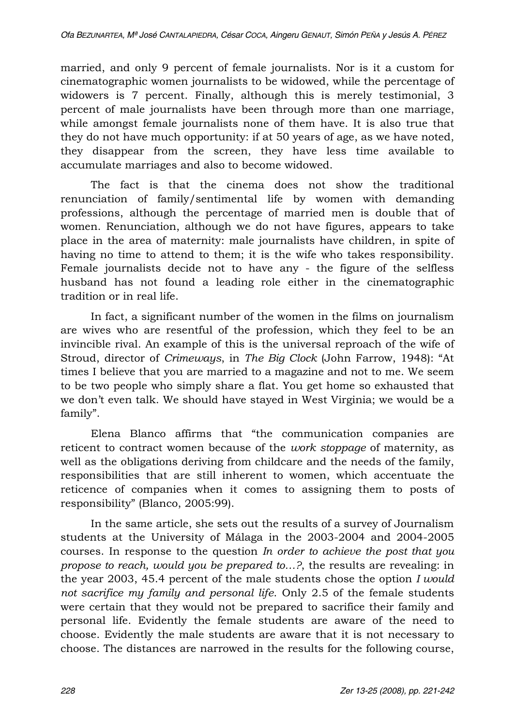married, and only 9 percent of female journalists. Nor is it a custom for cinematographic women journalists to be widowed, while the percentage of widowers is 7 percent. Finally, although this is merely testimonial, 3 percent of male journalists have been through more than one marriage, while amongst female journalists none of them have. It is also true that they do not have much opportunity: if at 50 years of age, as we have noted, they disappear from the screen, they have less time available to accumulate marriages and also to become widowed.

The fact is that the cinema does not show the traditional renunciation of family/sentimental life by women with demanding professions, although the percentage of married men is double that of women. Renunciation, although we do not have figures, appears to take place in the area of maternity: male journalists have children, in spite of having no time to attend to them; it is the wife who takes responsibility. Female journalists decide not to have any - the figure of the selfless husband has not found a leading role either in the cinematographic tradition or in real life.

In fact, a significant number of the women in the films on journalism are wives who are resentful of the profession, which they feel to be an invincible rival. An example of this is the universal reproach of the wife of Stroud, director of *Crimeways*, in *The Big Clock* (John Farrow, 1948): "At times I believe that you are married to a magazine and not to me. We seem to be two people who simply share a flat. You get home so exhausted that we don't even talk. We should have stayed in West Virginia; we would be a family".

Elena Blanco affirms that "the communication companies are reticent to contract women because of the *work stoppage* of maternity, as well as the obligations deriving from childcare and the needs of the family, responsibilities that are still inherent to women, which accentuate the reticence of companies when it comes to assigning them to posts of responsibility" (Blanco, 2005:99).

In the same article, she sets out the results of a survey of Journalism students at the University of Málaga in the 2003-2004 and 2004-2005 courses. In response to the question *In order to achieve the post that you propose to reach, would you be prepared to...?*, the results are revealing: in the year 2003, 45.4 percent of the male students chose the option *I would not sacrifice my family and personal life*. Only 2.5 of the female students were certain that they would not be prepared to sacrifice their family and personal life. Evidently the female students are aware of the need to choose. Evidently the male students are aware that it is not necessary to choose. The distances are narrowed in the results for the following course,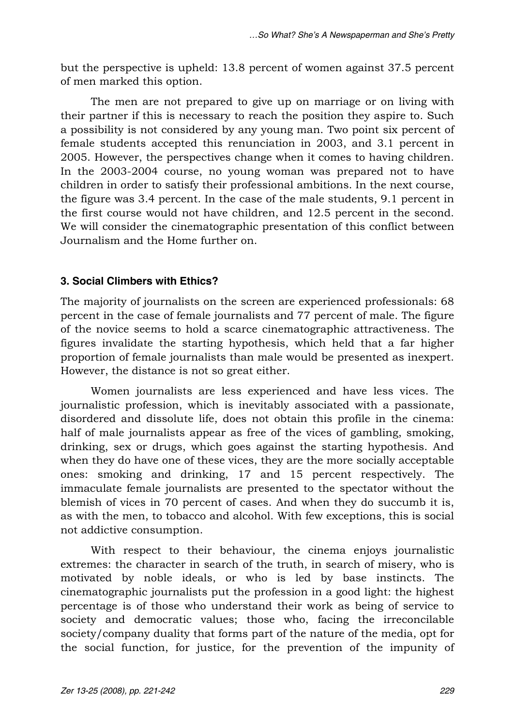but the perspective is upheld: 13.8 percent of women against 37.5 percent of men marked this option.

The men are not prepared to give up on marriage or on living with their partner if this is necessary to reach the position they aspire to. Such a possibility is not considered by any young man. Two point six percent of female students accepted this renunciation in 2003, and 3.1 percent in 2005. However, the perspectives change when it comes to having children. In the 2003-2004 course, no young woman was prepared not to have children in order to satisfy their professional ambitions. In the next course, the figure was 3.4 percent. In the case of the male students, 9.1 percent in the first course would not have children, and 12.5 percent in the second. We will consider the cinematographic presentation of this conflict between Journalism and the Home further on.

## **3. Social Climbers with Ethics?**

The majority of journalists on the screen are experienced professionals: 68 percent in the case of female journalists and 77 percent of male. The figure of the novice seems to hold a scarce cinematographic attractiveness. The figures invalidate the starting hypothesis, which held that a far higher proportion of female journalists than male would be presented as inexpert. However, the distance is not so great either.

Women journalists are less experienced and have less vices. The journalistic profession, which is inevitably associated with a passionate, disordered and dissolute life, does not obtain this profile in the cinema: half of male journalists appear as free of the vices of gambling, smoking, drinking, sex or drugs, which goes against the starting hypothesis. And when they do have one of these vices, they are the more socially acceptable ones: smoking and drinking, 17 and 15 percent respectively. The immaculate female journalists are presented to the spectator without the blemish of vices in 70 percent of cases. And when they do succumb it is, as with the men, to tobacco and alcohol. With few exceptions, this is social not addictive consumption.

With respect to their behaviour, the cinema enjoys journalistic extremes: the character in search of the truth, in search of misery, who is motivated by noble ideals, or who is led by base instincts. The cinematographic journalists put the profession in a good light: the highest percentage is of those who understand their work as being of service to society and democratic values; those who, facing the irreconcilable society/company duality that forms part of the nature of the media, opt for the social function, for justice, for the prevention of the impunity of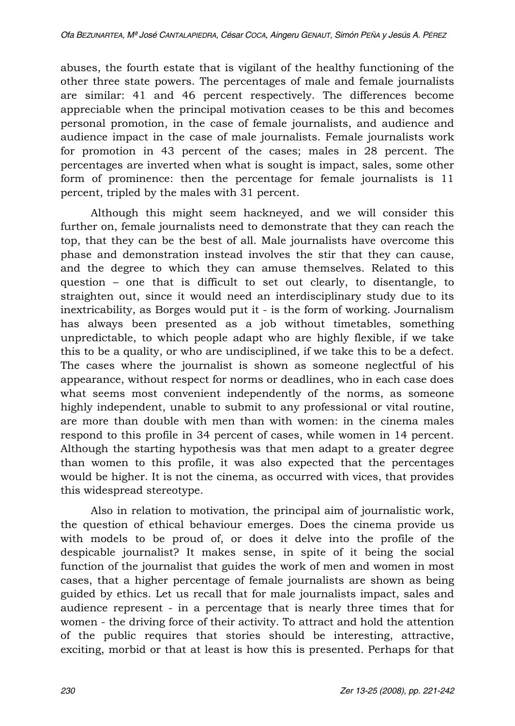abuses, the fourth estate that is vigilant of the healthy functioning of the other three state powers. The percentages of male and female journalists are similar: 41 and 46 percent respectively. The differences become appreciable when the principal motivation ceases to be this and becomes personal promotion, in the case of female journalists, and audience and audience impact in the case of male journalists. Female journalists work for promotion in 43 percent of the cases; males in 28 percent. The percentages are inverted when what is sought is impact, sales, some other form of prominence: then the percentage for female journalists is 11 percent, tripled by the males with 31 percent.

Although this might seem hackneyed, and we will consider this further on, female journalists need to demonstrate that they can reach the top, that they can be the best of all. Male journalists have overcome this phase and demonstration instead involves the stir that they can cause, and the degree to which they can amuse themselves. Related to this question - one that is difficult to set out clearly, to disentangle, to straighten out, since it would need an interdisciplinary study due to its inextricability, as Borges would put it - is the form of working. Journalism has always been presented as a job without timetables, something unpredictable, to which people adapt who are highly flexible, if we take this to be a quality, or who are undisciplined, if we take this to be a defect. The cases where the journalist is shown as someone neglectful of his appearance, without respect for norms or deadlines, who in each case does what seems most convenient independently of the norms, as someone highly independent, unable to submit to any professional or vital routine, are more than double with men than with women: in the cinema males respond to this profile in 34 percent of cases, while women in 14 percent. Although the starting hypothesis was that men adapt to a greater degree than women to this profile, it was also expected that the percentages would be higher. It is not the cinema, as occurred with vices, that provides this widespread stereotype.

Also in relation to motivation, the principal aim of journalistic work, the question of ethical behaviour emerges. Does the cinema provide us with models to be proud of, or does it delve into the profile of the despicable journalist? It makes sense, in spite of it being the social function of the journalist that guides the work of men and women in most cases, that a higher percentage of female journalists are shown as being guided by ethics. Let us recall that for male journalists impact, sales and audience represent - in a percentage that is nearly three times that for women - the driving force of their activity. To attract and hold the attention of the public requires that stories should be interesting, attractive, exciting, morbid or that at least is how this is presented. Perhaps for that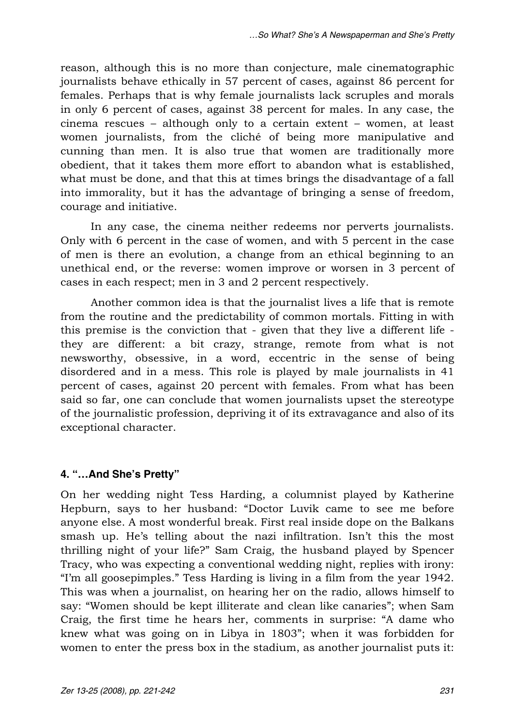reason, although this is no more than conjecture, male cinematographic journalists behave ethically in 57 percent of cases, against 86 percent for females. Perhaps that is why female journalists lack scruples and morals in only 6 percent of cases, against 38 percent for males. In any case, the cinema rescues  $-$  although only to a certain extent  $-$  women, at least women journalists, from the cliché of being more manipulative and cunning than men. It is also true that women are traditionally more obedient, that it takes them more effort to abandon what is established, what must be done, and that this at times brings the disadvantage of a fall into immorality, but it has the advantage of bringing a sense of freedom, courage and initiative.

In any case, the cinema neither redeems nor perverts journalists. Only with 6 percent in the case of women, and with 5 percent in the case of men is there an evolution, a change from an ethical beginning to an unethical end, or the reverse: women improve or worsen in 3 percent of cases in each respect; men in 3 and 2 percent respectively.

Another common idea is that the journalist lives a life that is remote from the routine and the predictability of common mortals. Fitting in with this premise is the conviction that - given that they live a different life they are different: a bit crazy, strange, remote from what is not newsworthy, obsessive, in a word, eccentric in the sense of being disordered and in a mess. This role is played by male journalists in 41 percent of cases, against 20 percent with females. From what has been said so far, one can conclude that women journalists upset the stereotype of the journalistic profession, depriving it of its extravagance and also of its exceptional character.

## **4. "...And She's Pretty"**

On her wedding night Tess Harding, a columnist played by Katherine Hepburn, says to her husband: "Doctor Luvik came to see me before anyone else. A most wonderful break. First real inside dope on the Balkans smash up. He's telling about the nazi infiltration. Isn't this the most thrilling night of your life?" Sam Craig, the husband played by Spencer Tracy, who was expecting a conventional wedding night, replies with irony: "I'm all goosepimples." Tess Harding is living in a film from the year 1942. This was when a journalist, on hearing her on the radio, allows himself to say: "Women should be kept illiterate and clean like canaries"; when Sam Craig, the first time he hears her, comments in surprise: "A dame who knew what was going on in Libya in 1803"; when it was forbidden for women to enter the press box in the stadium, as another journalist puts it: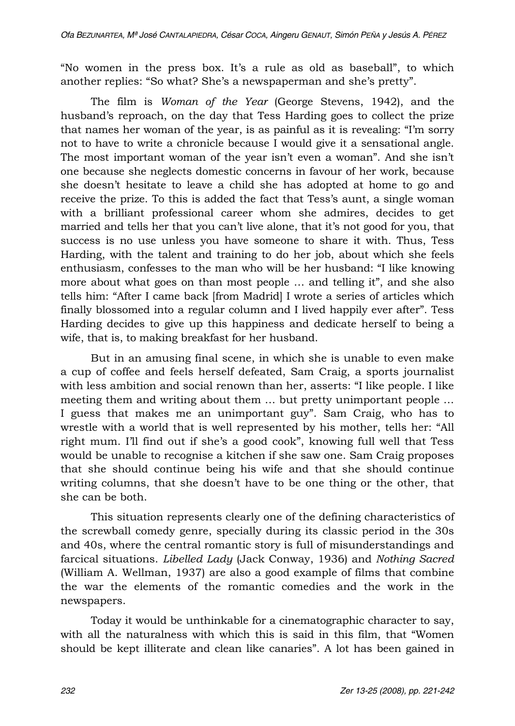"No women in the press box. It's a rule as old as baseball", to which another replies: "So what? She's a newspaperman and she's pretty".

The film is *Woman of the Year* (George Stevens, 1942), and the husband's reproach, on the day that Tess Harding goes to collect the prize that names her woman of the year, is as painful as it is revealing: "I'm sorry not to have to write a chronicle because I would give it a sensational angle. The most important woman of the year isn't even a woman". And she isn't one because she neglects domestic concerns in favour of her work, because she doesnit hesitate to leave a child she has adopted at home to go and receive the prize. To this is added the fact that Tess's aunt, a single woman with a brilliant professional career whom she admires, decides to get married and tells her that you can't live alone, that it's not good for you, that success is no use unless you have someone to share it with. Thus, Tess Harding, with the talent and training to do her job, about which she feels enthusiasm, confesses to the man who will be her husband: "I like knowing more about what goes on than most people ... and telling it", and she also tells him: "After I came back [from Madrid] I wrote a series of articles which finally blossomed into a regular column and I lived happily ever after". Tess Harding decides to give up this happiness and dedicate herself to being a wife, that is, to making breakfast for her husband.

But in an amusing final scene, in which she is unable to even make a cup of coffee and feels herself defeated, Sam Craig, a sports journalist with less ambition and social renown than her, asserts: "I like people. I like meeting them and writing about them ... but pretty unimportant people ... I guess that makes me an unimportant guy". Sam Craig, who has to wrestle with a world that is well represented by his mother, tells her: "All right mum. I'll find out if she's a good cook", knowing full well that Tess would be unable to recognise a kitchen if she saw one. Sam Craig proposes that she should continue being his wife and that she should continue writing columns, that she doesn't have to be one thing or the other, that she can be both.

This situation represents clearly one of the defining characteristics of the screwball comedy genre, specially during its classic period in the 30s and 40s, where the central romantic story is full of misunderstandings and farcical situations. *Libelled Lady* (Jack Conway, 1936) and *Nothing Sacred* (William A. Wellman, 1937) are also a good example of films that combine the war the elements of the romantic comedies and the work in the newspapers.

Today it would be unthinkable for a cinematographic character to say, with all the naturalness with which this is said in this film, that "Women should be kept illiterate and clean like canaries". A lot has been gained in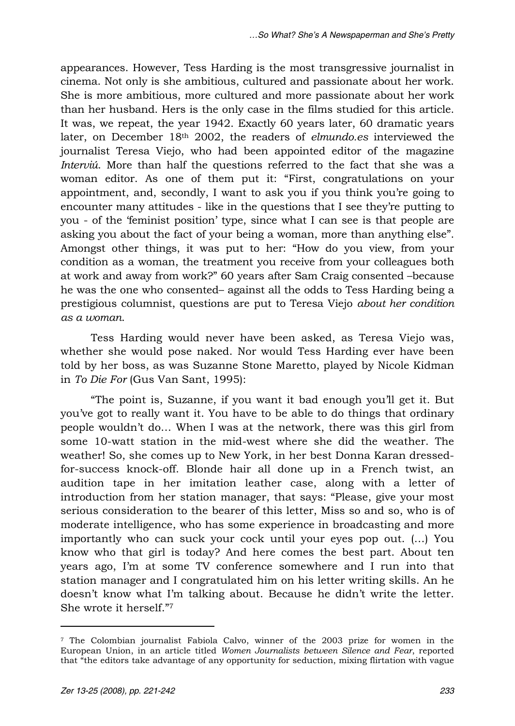appearances. However, Tess Harding is the most transgressive journalist in cinema. Not only is she ambitious, cultured and passionate about her work. She is more ambitious, more cultured and more passionate about her work than her husband. Hers is the only case in the films studied for this article. It was, we repeat, the year 1942. Exactly 60 years later, 60 dramatic years later, on December 18th 2002, the readers of *elmundo.es* interviewed the journalist Teresa Viejo, who had been appointed editor of the magazine *Interviú*. More than half the questions referred to the fact that she was a woman editor. As one of them put it: "First, congratulations on your appointment, and, secondly, I want to ask you if you think youire going to encounter many attitudes - like in the questions that I see they're putting to you - of the 'feminist position' type, since what I can see is that people are asking you about the fact of your being a woman, more than anything else". Amongst other things, it was put to her: "How do you view, from your condition as a woman, the treatment you receive from your colleagues both at work and away from work?" 60 years after Sam Craig consented -because he was the one who consented- against all the odds to Tess Harding being a prestigious columnist, questions are put to Teresa Viejo *about her condition as a woman*.

Tess Harding would never have been asked, as Teresa Viejo was, whether she would pose naked. Nor would Tess Harding ever have been told by her boss, as was Suzanne Stone Maretto, played by Nicole Kidman in *To Die For* (Gus Van Sant, 1995):

"The point is, Suzanne, if you want it bad enough you'll get it. But you've got to really want it. You have to be able to do things that ordinary people wouldn't do... When I was at the network, there was this girl from some 10-watt station in the mid-west where she did the weather. The weather! So, she comes up to New York, in her best Donna Karan dressedfor-success knock-off. Blonde hair all done up in a French twist, an audition tape in her imitation leather case, along with a letter of introduction from her station manager, that says: "Please, give your most serious consideration to the bearer of this letter, Miss so and so, who is of moderate intelligence, who has some experience in broadcasting and more importantly who can suck your cock until your eyes pop out.  $(...)$  You know who that girl is today? And here comes the best part. About ten years ago, I'm at some TV conference somewhere and I run into that station manager and I congratulated him on his letter writing skills. An he doesn't know what I'm talking about. Because he didn't write the letter. She wrote it herself."7

 $\overline{a}$ 

<sup>7</sup> The Colombian journalist Fabiola Calvo, winner of the 2003 prize for women in the European Union, in an article titled *Women Journalists between Silence and Fear*, reported that "the editors take advantage of any opportunity for seduction, mixing flirtation with vague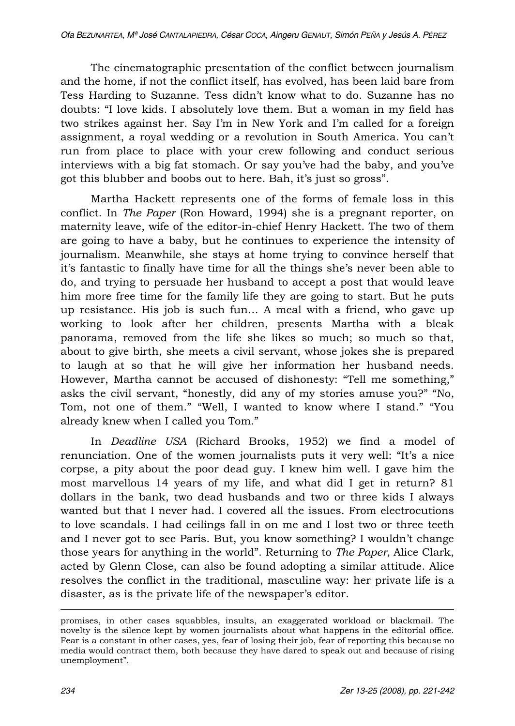The cinematographic presentation of the conflict between journalism and the home, if not the conflict itself, has evolved, has been laid bare from Tess Harding to Suzanne. Tess didn't know what to do. Suzanne has no doubts: "I love kids. I absolutely love them. But a woman in my field has two strikes against her. Say I'm in New York and I'm called for a foreign assignment, a royal wedding or a revolution in South America. You canit run from place to place with your crew following and conduct serious interviews with a big fat stomach. Or say you've had the baby, and you've got this blubber and boobs out to here. Bah, it's just so gross".

Martha Hackett represents one of the forms of female loss in this conflict. In *The Paper* (Ron Howard, 1994) she is a pregnant reporter, on maternity leave, wife of the editor-in-chief Henry Hackett. The two of them are going to have a baby, but he continues to experience the intensity of journalism. Meanwhile, she stays at home trying to convince herself that it's fantastic to finally have time for all the things she's never been able to do, and trying to persuade her husband to accept a post that would leave him more free time for the family life they are going to start. But he puts up resistance. His job is such fun... A meal with a friend, who gave up working to look after her children, presents Martha with a bleak panorama, removed from the life she likes so much; so much so that, about to give birth, she meets a civil servant, whose jokes she is prepared to laugh at so that he will give her information her husband needs. However, Martha cannot be accused of dishonesty: "Tell me something," asks the civil servant, "honestly, did any of my stories amuse you?" "No, Tom, not one of them." "Well, I wanted to know where I stand." "You already knew when I called you Tom."

In *Deadline USA* (Richard Brooks, 1952) we find a model of renunciation. One of the women journalists puts it very well: "It's a nice corpse, a pity about the poor dead guy. I knew him well. I gave him the most marvellous 14 years of my life, and what did I get in return? 81 dollars in the bank, two dead husbands and two or three kids I always wanted but that I never had. I covered all the issues. From electrocutions to love scandals. I had ceilings fall in on me and I lost two or three teeth and I never got to see Paris. But, you know something? I wouldnit change those years for anything in the world". Returning to *The Paper*, Alice Clark, acted by Glenn Close, can also be found adopting a similar attitude. Alice resolves the conflict in the traditional, masculine way: her private life is a disaster, as is the private life of the newspaper's editor.

 $\overline{a}$ 

promises, in other cases squabbles, insults, an exaggerated workload or blackmail. The novelty is the silence kept by women journalists about what happens in the editorial office. Fear is a constant in other cases, yes, fear of losing their job, fear of reporting this because no media would contract them, both because they have dared to speak out and because of rising unemployment".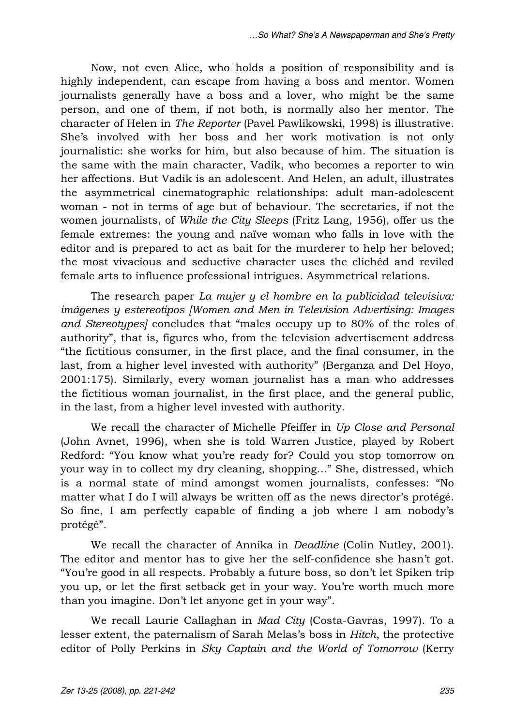Now, not even Alice, who holds a position of responsibility and is highly independent, can escape from having a boss and mentor. Women journalists generally have a boss and a lover, who might be the same person, and one of them, if not both, is normally also her mentor. The character of Helen in *The Reporter* (Pavel Pawlikowski, 1998) is illustrative. She's involved with her boss and her work motivation is not only journalistic: she works for him, but also because of him. The situation is the same with the main character, Vadik, who becomes a reporter to win her affections. But Vadik is an adolescent. And Helen, an adult, illustrates the asymmetrical cinematographic relationships: adult man-adolescent woman - not in terms of age but of behaviour. The secretaries, if not the women journalists, of *While the City Sleeps* (Fritz Lang, 1956), offer us the female extremes: the young and naïve woman who falls in love with the editor and is prepared to act as bait for the murderer to help her beloved; the most vivacious and seductive character uses the clichéd and reviled female arts to influence professional intrigues. Asymmetrical relations.

The research paper *La mujer y el hombre en la publicidad televisiva: imágenes y estereotipos [Women and Men in Television Advertising: Images and Stereotypes]* concludes that "males occupy up to 80% of the roles of authority", that is, figures who, from the television advertisement address "the fictitious consumer, in the first place, and the final consumer, in the last, from a higher level invested with authority" (Berganza and Del Hoyo, 2001:175). Similarly, every woman journalist has a man who addresses the fictitious woman journalist, in the first place, and the general public, in the last, from a higher level invested with authority.

We recall the character of Michelle Pfeiffer in *Up Close and Personal* (John Avnet, 1996), when she is told Warren Justice, played by Robert Redford: "You know what you're ready for? Could you stop tomorrow on your way in to collect my dry cleaning, shopping..." She, distressed, which is a normal state of mind amongst women journalists, confesses: "No matter what I do I will always be written off as the news director's protégé. So fine, I am perfectly capable of finding a job where I am nobody's protégé".

We recall the character of Annika in *Deadline* (Colin Nutley, 2001). The editor and mentor has to give her the self-confidence she hasn't got. "You're good in all respects. Probably a future boss, so don't let Spiken trip you up, or let the first setback get in your way. Youire worth much more than you imagine. Don't let anyone get in your way".

We recall Laurie Callaghan in *Mad City* (Costa-Gavras, 1997). To a lesser extent, the paternalism of Sarah Melas's boss in *Hitch*, the protective editor of Polly Perkins in *Sky Captain and the World of Tomorrow* (Kerry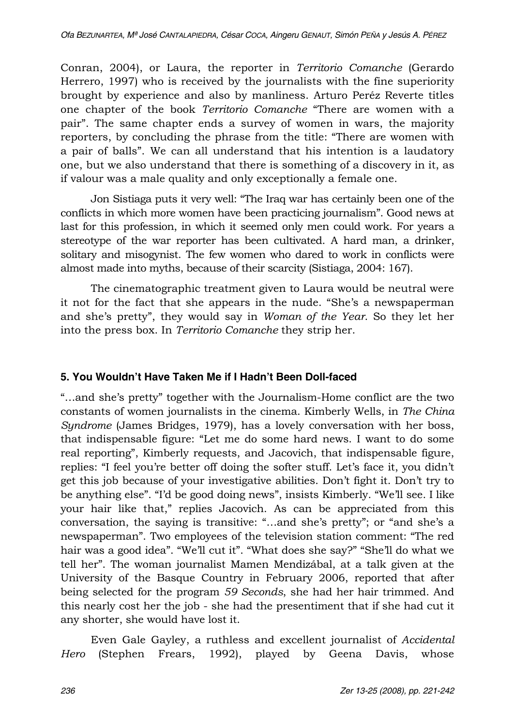Conran, 2004), or Laura, the reporter in *Territorio Comanche* (Gerardo Herrero, 1997) who is received by the journalists with the fine superiority brought by experience and also by manliness. Arturo Peréz Reverte titles one chapter of the book *Territorio Comanche* "There are women with a pair". The same chapter ends a survey of women in wars, the majority reporters, by concluding the phrase from the title: "There are women with a pair of balls". We can all understand that his intention is a laudatory one, but we also understand that there is something of a discovery in it, as if valour was a male quality and only exceptionally a female one.

Jon Sistiaga puts it very well: "The Iraq war has certainly been one of the conflicts in which more women have been practicing journalism". Good news at last for this profession, in which it seemed only men could work. For years a stereotype of the war reporter has been cultivated. A hard man, a drinker, solitary and misogynist. The few women who dared to work in conflicts were almost made into myths, because of their scarcity (Sistiaga, 2004: 167).

The cinematographic treatment given to Laura would be neutral were it not for the fact that she appears in the nude. "She's a newspaperman and she's pretty", they would say in *Woman of the Year*. So they let her into the press box. In *Territorio Comanche* they strip her.

## **5. You Wouldn't Have Taken Me if I Hadn't Been Doll-faced**

"...and she's pretty" together with the Journalism-Home conflict are the two constants of women journalists in the cinema. Kimberly Wells, in *The China Syndrome* (James Bridges, 1979), has a lovely conversation with her boss, that indispensable figure: "Let me do some hard news. I want to do some real reporting", Kimberly requests, and Jacovich, that indispensable figure, replies: "I feel you're better off doing the softer stuff. Let's face it, you didn't get this job because of your investigative abilities. Don't fight it. Don't try to be anything else". "I'd be good doing news", insists Kimberly. "We'll see. I like your hair like that," replies Jacovich. As can be appreciated from this conversation, the saying is transitive: "...and she's pretty"; or "and she's a newspaperman". Two employees of the television station comment: "The red hair was a good idea". "We'll cut it". "What does she say?" "She'll do what we tell her". The woman journalist Mamen Mendizábal, at a talk given at the University of the Basque Country in February 2006, reported that after being selected for the program *59 Seconds*, she had her hair trimmed. And this nearly cost her the job - she had the presentiment that if she had cut it any shorter, she would have lost it.

Even Gale Gayley, a ruthless and excellent journalist of *Accidental Hero* (Stephen Frears, 1992), played by Geena Davis, whose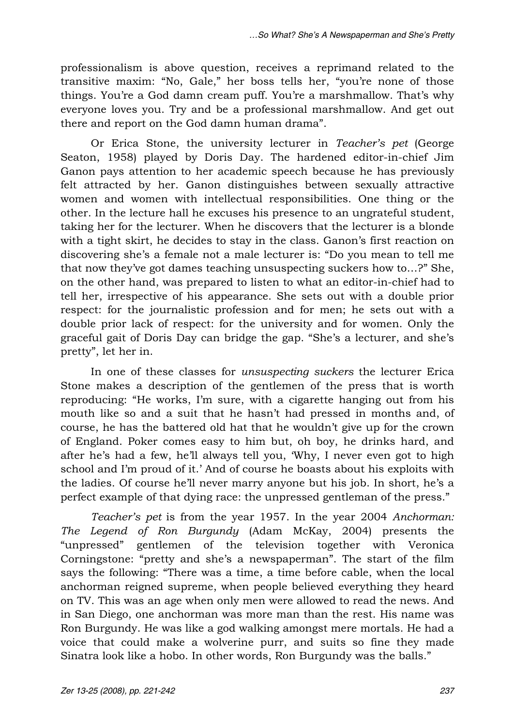professionalism is above question, receives a reprimand related to the transitive maxim: "No, Gale," her boss tells her, "you're none of those things. You're a God damn cream puff. You're a marshmallow. That's why everyone loves you. Try and be a professional marshmallow. And get out there and report on the God damn human drama".

Or Erica Stone, the university lecturer in *Teacher\_s pet* (George Seaton, 1958) played by Doris Day. The hardened editor-in-chief Jim Ganon pays attention to her academic speech because he has previously felt attracted by her. Ganon distinguishes between sexually attractive women and women with intellectual responsibilities. One thing or the other. In the lecture hall he excuses his presence to an ungrateful student, taking her for the lecturer. When he discovers that the lecturer is a blonde with a tight skirt, he decides to stay in the class. Ganon's first reaction on discovering she's a female not a male lecturer is: "Do you mean to tell me that now they've got dames teaching unsuspecting suckers how to...?" She, on the other hand, was prepared to listen to what an editor-in-chief had to tell her, irrespective of his appearance. She sets out with a double prior respect: for the journalistic profession and for men; he sets out with a double prior lack of respect: for the university and for women. Only the graceful gait of Doris Day can bridge the gap. "She's a lecturer, and she's pretty", let her in.

In one of these classes for *unsuspecting suckers* the lecturer Erica Stone makes a description of the gentlemen of the press that is worth reproducing: "He works, I'm sure, with a cigarette hanging out from his mouth like so and a suit that he hasn't had pressed in months and, of course, he has the battered old hat that he wouldn't give up for the crown of England. Poker comes easy to him but, oh boy, he drinks hard, and after he's had a few, he'll always tell you, 'Why, I never even got to high school and I'm proud of it.' And of course he boasts about his exploits with the ladies. Of course he'll never marry anyone but his job. In short, he's a perfect example of that dying race: the unpressed gentleman of the press."

*Teacher\_s pet* is from the year 1957. In the year 2004 *Anchorman: The Legend of Ron Burgundy* (Adam McKay, 2004) presents the "unpressed" gentlemen of the television together with Veronica Corningstone: "pretty and she's a newspaperman". The start of the film says the following: "There was a time, a time before cable, when the local anchorman reigned supreme, when people believed everything they heard on TV. This was an age when only men were allowed to read the news. And in San Diego, one anchorman was more man than the rest. His name was Ron Burgundy. He was like a god walking amongst mere mortals. He had a voice that could make a wolverine purr, and suits so fine they made Sinatra look like a hobo. In other words, Ron Burgundy was the balls."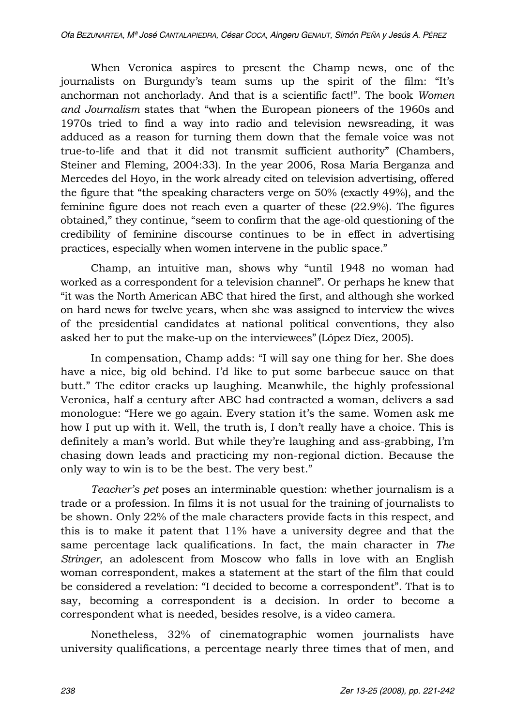When Veronica aspires to present the Champ news, one of the journalists on Burgundy's team sums up the spirit of the film: "It's anchorman not anchorlady. And that is a scientific fact!". The book *Women* and Journalism states that "when the European pioneers of the 1960s and 1970s tried to find a way into radio and television newsreading, it was adduced as a reason for turning them down that the female voice was not true-to-life and that it did not transmit sufficient authority" (Chambers, Steiner and Fleming, 2004:33). In the year 2006, Rosa María Berganza and Mercedes del Hoyo, in the work already cited on television advertising, offered the figure that "the speaking characters verge on  $50\%$  (exactly 49%), and the feminine figure does not reach even a quarter of these (22.9%). The figures obtained," they continue, "seem to confirm that the age-old questioning of the credibility of feminine discourse continues to be in effect in advertising practices, especially when women intervene in the public space."

Champ, an intuitive man, shows why "until 1948 no woman had worked as a correspondent for a television channel". Or perhaps he knew that "it was the North American ABC that hired the first, and although she worked on hard news for twelve years, when she was assigned to interview the wives of the presidential candidates at national political conventions, they also asked her to put the make-up on the interviewees" (López Díez, 2005).

In compensation, Champ adds: "I will say one thing for her. She does have a nice, big old behind. I'd like to put some barbecue sauce on that butt." The editor cracks up laughing. Meanwhile, the highly professional Veronica, half a century after ABC had contracted a woman, delivers a sad monologue: "Here we go again. Every station it's the same. Women ask me how I put up with it. Well, the truth is, I don't really have a choice. This is definitely a man's world. But while they're laughing and ass-grabbing, I'm chasing down leads and practicing my non-regional diction. Because the only way to win is to be the best. The very best."

*Teacher's pet* poses an interminable question: whether journalism is a trade or a profession. In films it is not usual for the training of journalists to be shown. Only 22% of the male characters provide facts in this respect, and this is to make it patent that 11% have a university degree and that the same percentage lack qualifications. In fact, the main character in *The Stringer*, an adolescent from Moscow who falls in love with an English woman correspondent, makes a statement at the start of the film that could be considered a revelation: "I decided to become a correspondent". That is to say, becoming a correspondent is a decision. In order to become a correspondent what is needed, besides resolve, is a video camera.

Nonetheless, 32% of cinematographic women journalists have university qualifications, a percentage nearly three times that of men, and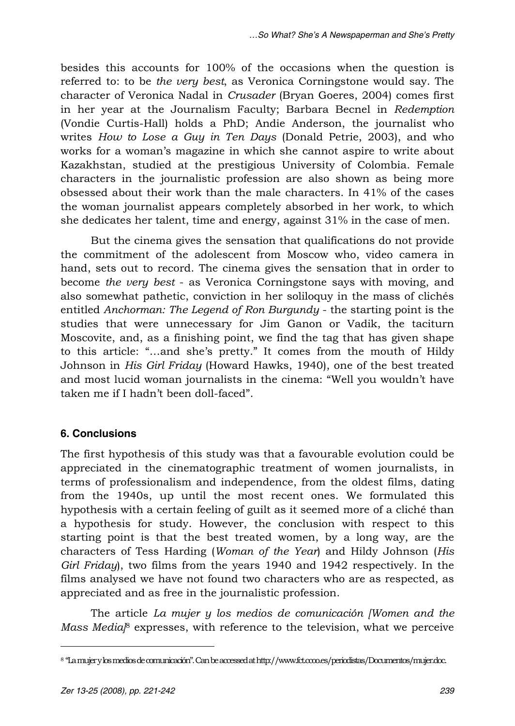besides this accounts for 100% of the occasions when the question is referred to: to be *the very best*, as Veronica Corningstone would say. The character of Veronica Nadal in *Crusader* (Bryan Goeres, 2004) comes first in her year at the Journalism Faculty; Barbara Becnel in *Redemption* (Vondie Curtis-Hall) holds a PhD; Andie Anderson, the journalist who writes *How to Lose a Guy in Ten Days* (Donald Petrie, 2003), and who works for a woman's magazine in which she cannot aspire to write about Kazakhstan, studied at the prestigious University of Colombia. Female characters in the journalistic profession are also shown as being more obsessed about their work than the male characters. In 41% of the cases the woman journalist appears completely absorbed in her work, to which she dedicates her talent, time and energy, against 31% in the case of men.

But the cinema gives the sensation that qualifications do not provide the commitment of the adolescent from Moscow who, video camera in hand, sets out to record. The cinema gives the sensation that in order to become *the very best* - as Veronica Corningstone says with moving, and also somewhat pathetic, conviction in her soliloquy in the mass of clichés entitled *Anchorman: The Legend of Ron Burgundy* - the starting point is the studies that were unnecessary for Jim Ganon or Vadik, the taciturn Moscovite, and, as a finishing point, we find the tag that has given shape to this article: "...and she's pretty." It comes from the mouth of Hildy Johnson in *His Girl Friday* (Howard Hawks, 1940), one of the best treated and most lucid woman journalists in the cinema: "Well you wouldn't have taken me if I hadn't been doll-faced".

## **6. Conclusions**

The first hypothesis of this study was that a favourable evolution could be appreciated in the cinematographic treatment of women journalists, in terms of professionalism and independence, from the oldest films, dating from the 1940s, up until the most recent ones. We formulated this hypothesis with a certain feeling of guilt as it seemed more of a cliché than a hypothesis for study. However, the conclusion with respect to this starting point is that the best treated women, by a long way, are the characters of Tess Harding (*Woman of the Year*) and Hildy Johnson (*His Girl Friday*), two films from the years 1940 and 1942 respectively. In the films analysed we have not found two characters who are as respected, as appreciated and as free in the journalistic profession.

The article *La mujer y los medios de comunicación [Women and the Mass Media*<sup>8</sup> expresses, with reference to the television, what we perceive

 $\overline{a}$ 

<sup>8 &</sup>quot;La mujer y los medios de comunicación". Can be accessed at http://www.fct.ccoo.es/periodistas/Documentos/mujer.doc.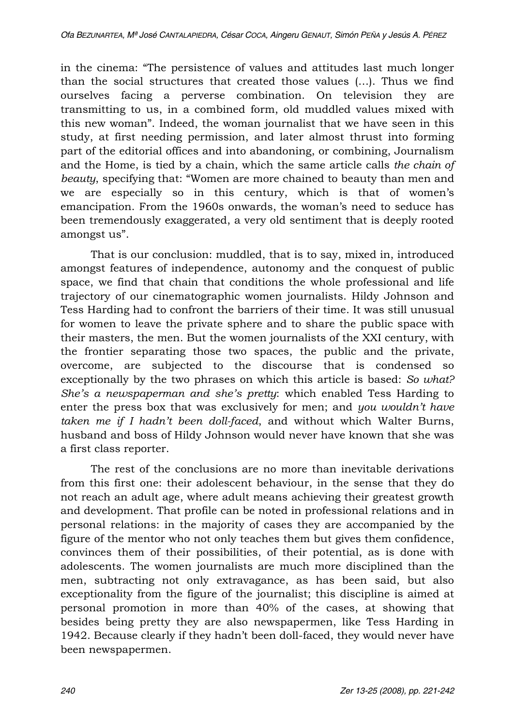in the cinema: "The persistence of values and attitudes last much longer than the social structures that created those values  $(...)$ . Thus we find ourselves facing a perverse combination. On television they are transmitting to us, in a combined form, old muddled values mixed with this new woman". Indeed, the woman journalist that we have seen in this study, at first needing permission, and later almost thrust into forming part of the editorial offices and into abandoning, or combining, Journalism and the Home, is tied by a chain, which the same article calls *the chain of beauty*, specifying that: "Women are more chained to beauty than men and we are especially so in this century, which is that of women's emancipation. From the 1960s onwards, the womanis need to seduce has been tremendously exaggerated, a very old sentiment that is deeply rooted amongst us".

That is our conclusion: muddled, that is to say, mixed in, introduced amongst features of independence, autonomy and the conquest of public space, we find that chain that conditions the whole professional and life trajectory of our cinematographic women journalists. Hildy Johnson and Tess Harding had to confront the barriers of their time. It was still unusual for women to leave the private sphere and to share the public space with their masters, the men. But the women journalists of the XXI century, with the frontier separating those two spaces, the public and the private, overcome, are subjected to the discourse that is condensed so exceptionally by the two phrases on which this article is based: *So what? She's a newspaperman and she's pretty:* which enabled Tess Harding to enter the press box that was exclusively for men; and *you wouldn't have taken me if I hadn\_t been doll-faced*, and without which Walter Burns, husband and boss of Hildy Johnson would never have known that she was a first class reporter.

The rest of the conclusions are no more than inevitable derivations from this first one: their adolescent behaviour, in the sense that they do not reach an adult age, where adult means achieving their greatest growth and development. That profile can be noted in professional relations and in personal relations: in the majority of cases they are accompanied by the figure of the mentor who not only teaches them but gives them confidence, convinces them of their possibilities, of their potential, as is done with adolescents. The women journalists are much more disciplined than the men, subtracting not only extravagance, as has been said, but also exceptionality from the figure of the journalist; this discipline is aimed at personal promotion in more than 40% of the cases, at showing that besides being pretty they are also newspapermen, like Tess Harding in 1942. Because clearly if they hadn't been doll-faced, they would never have been newspapermen.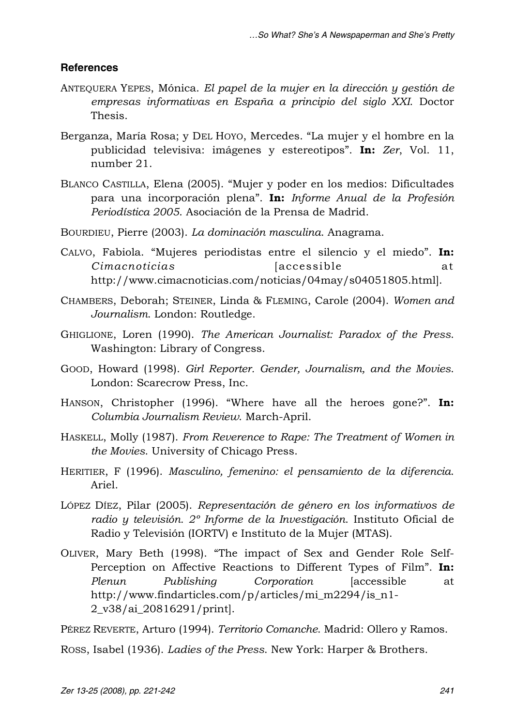### **References**

- ANTEQUERA YEPES, Mónica. *El papel de la mujer en la dirección y gestión de empresas informativas en España a principio del siglo XXI*. Doctor Thesis.
- Berganza, María Rosa; y DEL HOYO, Mercedes. "La mujer y el hombre en la publicidad televisiva: imágenes y estereotipos". In: Zer, Vol. 11, number 21.
- BLANCO CASTILLA, Elena (2005). "Mujer y poder en los medios: Dificultades para una incorporación plena". In: *Informe Anual de la Profesión Periodística 2005*. Asociación de la Prensa de Madrid.
- BOURDIEU, Pierre (2003). *La dominación masculina*. Anagrama.
- CALVO, Fabiola. "Mujeres periodistas entre el silencio y el miedo". In: *Cimacnoticias* [accessible at http://www.cimacnoticias.com/noticias/04may/s04051805.html].
- CHAMBERS, Deborah; STEINER, Linda & FLEMING, Carole (2004). *Women and Journalism*. London: Routledge.
- GHIGLIONE, Loren (1990). *The American Journalist: Paradox of the Press*. Washington: Library of Congress.
- GOOD, Howard (1998). *Girl Reporter. Gender, Journalism, and the Movies*. London: Scarecrow Press, Inc.
- HANSON, Christopher (1996). "Where have all the heroes gone?". **In:** *Columbia Journalism Review*. March-April.
- HASKELL, Molly (1987). *From Reverence to Rape: The Treatment of Women in the Movies*. University of Chicago Press.
- HERITIER, F (1996). *Masculino, femenino: el pensamiento de la diferencia*. Ariel.
- LÓPEZ DÍEZ, Pilar (2005). *Representación de género en los informativos de radio y televisión. 2º Informe de la Investigación*. Instituto Oficial de Radio y Televisión (IORTV) e Instituto de la Mujer (MTAS).
- OLIVER, Mary Beth (1998). "The impact of Sex and Gender Role Self-Perception on Affective Reactions to Different Types of Film". **In:** *Plenun Publishing Corporation* [accessible at http://www.findarticles.com/p/articles/mi\_m2294/is\_n1- 2\_v38/ai\_20816291/print].

PÉREZ REVERTE, Arturo (1994). *Territorio Comanche*. Madrid: Ollero y Ramos.

ROSS, Isabel (1936). *Ladies of the Press*. New York: Harper & Brothers.